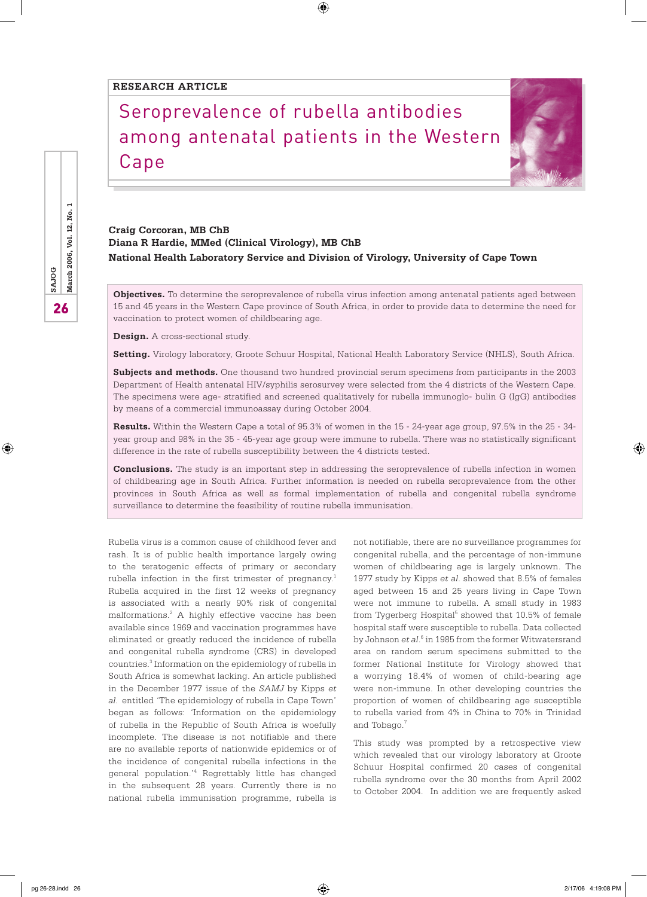#### **RESEARCH article**

# Seroprevalence of rubella antibodies among antenatal patients in the Western Cape

 $\bigoplus$ 



**Craig Corcoran, MB ChB Diana R Hardie, MMed (Clinical Virology), MB ChB National Health Laboratory Service and Division of Virology, University of Cape Town**

**Objectives.** To determine the seroprevalence of rubella virus infection among antenatal patients aged between 15 and 45 years in the Western Cape province of South Africa, in order to provide data to determine the need for vaccination to protect women of childbearing age.

**Design.** A cross-sectional study.

**Setting.** Virology laboratory, Groote Schuur Hospital, National Health Laboratory Service (NHLS), South Africa.

**Subjects and methods.** One thousand two hundred provincial serum specimens from participants in the 2003 Department of Health antenatal HIV/syphilis serosurvey were selected from the 4 districts of the Western Cape. The specimens were age- stratified and screened qualitatively for rubella immunoglo- bulin G (IgG) antibodies by means of a commercial immunoassay during October 2004.

**Results.** Within the Western Cape a total of 95.3% of women in the 15 - 24-year age group, 97.5% in the 25 - 34 year group and 98% in the 35 - 45-year age group were immune to rubella. There was no statistically significant difference in the rate of rubella susceptibility between the 4 districts tested.

**Conclusions.** The study is an important step in addressing the seroprevalence of rubella infection in women of childbearing age in South Africa. Further information is needed on rubella seroprevalence from the other provinces in South Africa as well as formal implementation of rubella and congenital rubella syndrome surveillance to determine the feasibility of routine rubella immunisation.

Rubella virus is a common cause of childhood fever and rash. It is of public health importance largely owing to the teratogenic effects of primary or secondary rubella infection in the first trimester of pregnancy.<sup>1</sup> Rubella acquired in the first 12 weeks of pregnancy is associated with a nearly 90% risk of congenital malformations.2 A highly effective vaccine has been available since 1969 and vaccination programmes have eliminated or greatly reduced the incidence of rubella and congenital rubella syndrome (CRS) in developed countries.<sup>3</sup> Information on the epidemiology of rubella in South Africa is somewhat lacking. An article published in the December 1977 issue of the *SAMJ* by Kipps *et al*. entitled 'The epidemiology of rubella in Cape Town' began as follows: 'Information on the epidemiology of rubella in the Republic of South Africa is woefully incomplete. The disease is not notifiable and there are no available reports of nationwide epidemics or of the incidence of congenital rubella infections in the general population.'4 Regrettably little has changed in the subsequent 28 years. Currently there is no national rubella immunisation programme, rubella is not notifiable, there are no surveillance programmes for congenital rubella, and the percentage of non-immune women of childbearing age is largely unknown. The 1977 study by Kipps *et al*. showed that 8.5% of females aged between 15 and 25 years living in Cape Town were not immune to rubella. A small study in 1983 from Tygerberg Hospital<sup>5</sup> showed that  $10.5\%$  of female hospital staff were susceptible to rubella. Data collected by Johnson et al.<sup>6</sup> in 1985 from the former Witwatersrand area on random serum specimens submitted to the former National Institute for Virology showed that a worrying 18.4% of women of child-bearing age were non-immune. In other developing countries the proportion of women of childbearing age susceptible to rubella varied from 4% in China to 70% in Trinidad and Tobago.<sup>7</sup>

This study was prompted by a retrospective view which revealed that our virology laboratory at Groote Schuur Hospital confirmed 20 cases of congenital rubella syndrome over the 30 months from April 2002 to October 2004. In addition we are frequently asked

26**SAJOG March 2006, Vol. 12, No. 1** March 2006, Vol. 12, No. **SAJOG** 26

⊕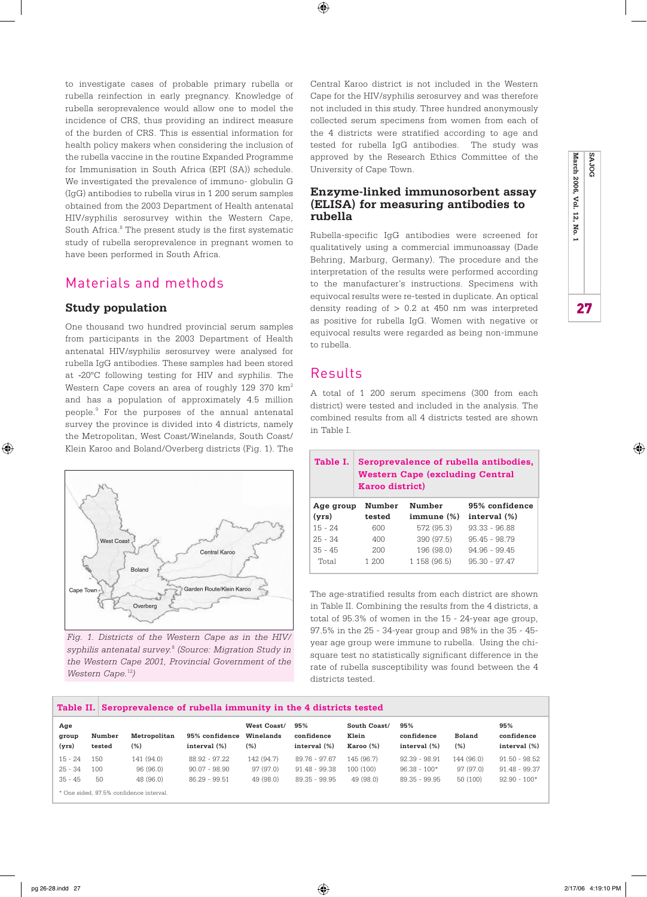to investigate cases of probable primary rubella or rubella reinfection in early pregnancy. Knowledge of rubella seroprevalence would allow one to model the incidence of CRS, thus providing an indirect measure of the burden of CRS. This is essential information for health policy makers when considering the inclusion of the rubella vaccine in the routine Expanded Programme for Immunisation in South Africa (EPI (SA)) schedule. We investigated the prevalence of immuno- globulin G (IgG) antibodies to rubella virus in 1 200 serum samples obtained from the 2003 Department of Health antenatal HIV/syphilis serosurvey within the Western Cape, South Africa.<sup>8</sup> The present study is the first systematic study of rubella seroprevalence in pregnant women to have been performed in South Africa.

## Materials and methods

#### **Study population**

One thousand two hundred provincial serum samples from participants in the 2003 Department of Health antenatal HIV/syphilis serosurvey were analysed for rubella IgG antibodies. These samples had been stored at -20ºC following testing for HIV and syphilis. The Western Cape covers an area of roughly 129 370 km<sup>2</sup> and has a population of approximately 4.5 million people.9 For the purposes of the annual antenatal survey the province is divided into 4 districts, namely the Metropolitan, West Coast/Winelands, South Coast/ Klein Karoo and Boland/Overberg districts (Fig. 1). The



*Fig. 1. Districts of the Western Cape as in the HIV/ syphilis antenatal survey.*<sup>8</sup>  *(Source: Migration Study in the Western Cape 2001, Provincial Government of the Western Cape.*<sup>12</sup>*)*

Central Karoo district is not included in the Western Cape for the HIV/syphilis serosurvey and was therefore not included in this study. Three hundred anonymously collected serum specimens from women from each of the 4 districts were stratified according to age and tested for rubella IgG antibodies. The study was approved by the Research Ethics Committee of the University of Cape Town.

#### **Enzyme-linked immunosorbent assay (ELISA) for measuring antibodies to rubella**

Rubella-specific IgG antibodies were screened for qualitatively using a commercial immunoassay (Dade Behring, Marburg, Germany). The procedure and the interpretation of the results were performed according to the manufacturer's instructions. Specimens with equivocal results were re-tested in duplicate. An optical density reading of  $> 0.2$  at 450 nm was interpreted as positive for rubella IgG. Women with negative or equivocal results were regarded as being non-immune to rubella.

## Results

 $\bigoplus$ 

A total of 1 200 serum specimens (300 from each district) were tested and included in the analysis. The combined results from all 4 districts tested are shown in Table I.

| Table I.  | Seroprevalence of rubella antibodies,<br><b>Western Cape (excluding Central</b><br><b>Karoo district)</b> |              |                 |  |  |  |  |  |  |
|-----------|-----------------------------------------------------------------------------------------------------------|--------------|-----------------|--|--|--|--|--|--|
| Age group | Number                                                                                                    | Number       | 95% confidence  |  |  |  |  |  |  |
| (vrs)     | tested                                                                                                    | immune(%)    | interval (%)    |  |  |  |  |  |  |
| $15 - 24$ | 600                                                                                                       | 572 (95.3)   | $93.33 - 96.88$ |  |  |  |  |  |  |
| $25 - 34$ | 400                                                                                                       | 390 (97.5)   | $95.45 - 98.79$ |  |  |  |  |  |  |
| $35 - 45$ | 200                                                                                                       | 196 (98.0)   | $94.96 - 99.45$ |  |  |  |  |  |  |
| Total     | 1 200                                                                                                     | 1 158 (96.5) | $95.30 - 97.47$ |  |  |  |  |  |  |

The age-stratified results from each district are shown in Table II. Combining the results from the 4 districts, a total of 95.3% of women in the 15 - 24-year age group, 97.5% in the 25 - 34-year group and 98% in the 35 - 45 year age group were immune to rubella. Using the chisquare test no statistically significant difference in the rate of rubella susceptibility was found between the 4 districts tested.

| Table II. Seroprevalence of rubella immunity in the 4 districts tested |        |              |                 |                          |                   |                       |                   |               |                   |  |
|------------------------------------------------------------------------|--------|--------------|-----------------|--------------------------|-------------------|-----------------------|-------------------|---------------|-------------------|--|
| Age<br>group                                                           | Number | Metropolitan | 95% confidence  | West Coast/<br>Winelands | 95%<br>confidence | South Coast/<br>Klein | 95%<br>confidence | <b>Boland</b> | 95%<br>confidence |  |
| (yrs)                                                                  | tested | (%)          | interval (%)    | (% )                     | interval (%)      | Karoo <sub>(%</sub> ) | interval (%)      | (% )          | interval (%)      |  |
| $15 - 24$                                                              | 150    | 141 (94.0)   | $88.92 - 97.22$ | 142 (94.7)               | 89.76 - 97.67     | 145 (96.7)            | $92.39 - 98.91$   | 144 (96.0)    | $91.50 - 98.52$   |  |
| $25 - 34$                                                              | 100    | 96 (96.0)    | $90.07 - 98.90$ | 97 (97.0)                | $91.48 - 99.38$   | 100 (100)             | $96.38 - 100*$    | 97 (97.0)     | $91.48 - 99.37$   |  |
| $35 - 45$                                                              | 50     | 48 (96.0)    | $86.29 - 99.51$ | 49 (98.0)                | 89.35 - 99.95     | 49 (98.0)             | 89.35 - 99.95     | 50 (100)      | $92.90 - 100*$    |  |
| * One sided, 97.5% confidence interval.                                |        |              |                 |                          |                   |                       |                   |               |                   |  |



⊕

⊕